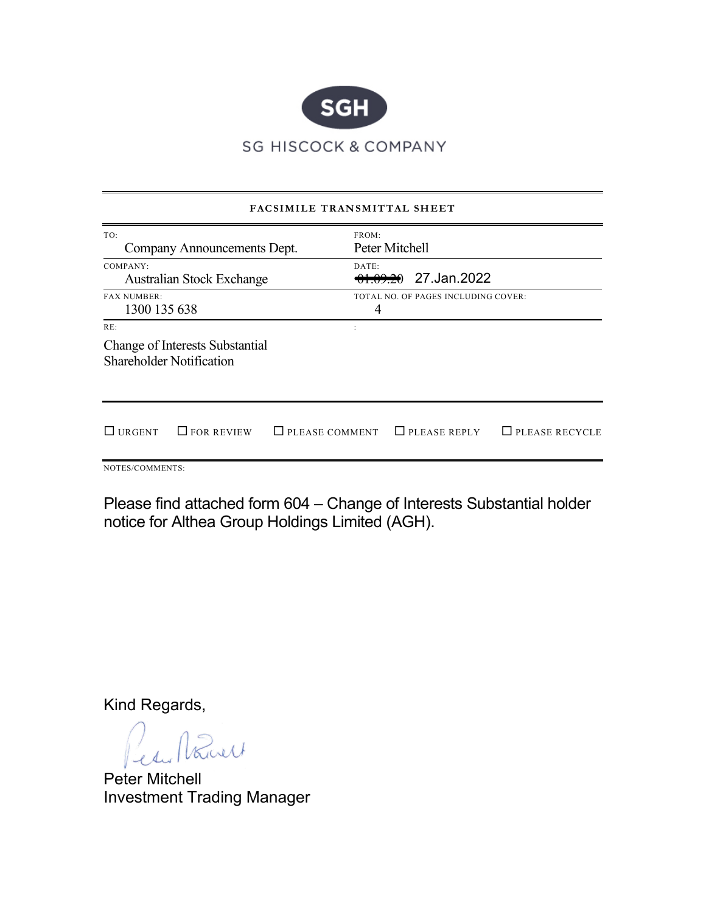

|                                                                           | FACSIMILE TRANSMITTAL SHEET |                                     |                       |
|---------------------------------------------------------------------------|-----------------------------|-------------------------------------|-----------------------|
| TO:<br>Company Announcements Dept.                                        | FROM:                       | Peter Mitchell                      |                       |
| COMPANY:<br><b>Australian Stock Exchange</b>                              | DATE:                       | <del>01.09.20</del> 27.Jan.2022     |                       |
| <b>FAX NUMBER:</b><br>1300 135 638                                        | 4                           | TOTAL NO. OF PAGES INCLUDING COVER: |                       |
| RE:<br>Change of Interests Substantial<br><b>Shareholder Notification</b> |                             |                                     |                       |
| $\Box$ URGENT<br>$\Box$ FOR REVIEW                                        | $\Box$ PLEASE COMMENT       | $\Box$ PLEASE REPLY                 | $\Box$ PLEASE RECYCLE |
| NOTES/COMMENTS:                                                           |                             |                                     |                       |

Please find attached form 604 – Change of Interests Substantial holder notice for Althea Group Holdings Limited (AGH).

Kind Regards,

Kurt

Peter Mitchell Investment Trading Manager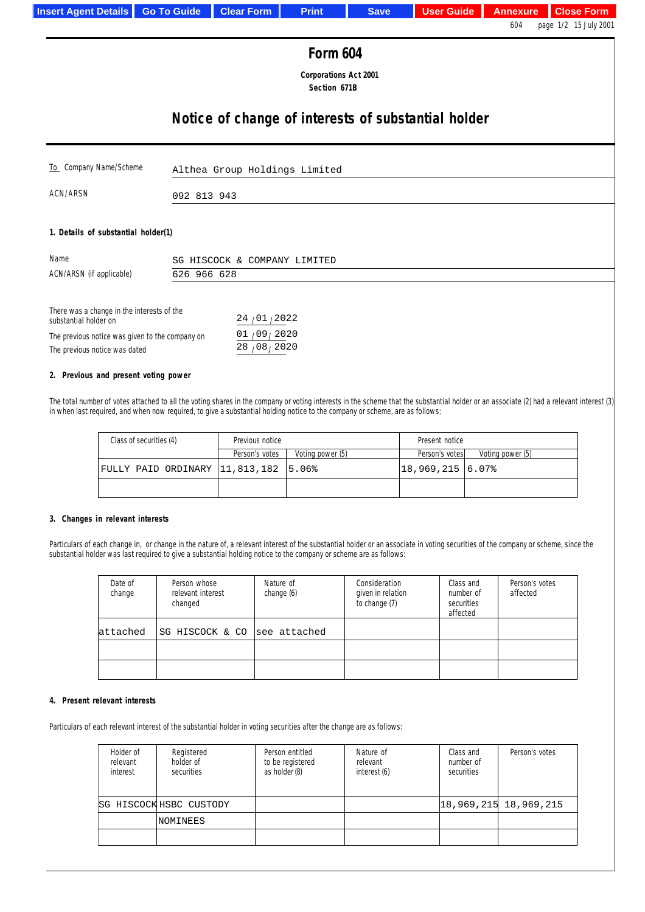| <b>Insert Agent Details</b>                                                                                  | <b>Go To Guide</b>                                  | <b>Clear Form</b>             | <b>Print</b> | <b>Save</b> | <b>User Guide</b> | <b>Annexure</b> | <b>Close Form</b>     |  |
|--------------------------------------------------------------------------------------------------------------|-----------------------------------------------------|-------------------------------|--------------|-------------|-------------------|-----------------|-----------------------|--|
|                                                                                                              |                                                     |                               |              |             |                   | 604             | page 1/2 15 July 2001 |  |
| <b>Form 604</b>                                                                                              |                                                     |                               |              |             |                   |                 |                       |  |
| <b>Corporations Act 2001</b><br>Section 671B                                                                 |                                                     |                               |              |             |                   |                 |                       |  |
|                                                                                                              | Notice of change of interests of substantial holder |                               |              |             |                   |                 |                       |  |
| To Company Name/Scheme                                                                                       |                                                     | Althea Group Holdings Limited |              |             |                   |                 |                       |  |
| ACN/ARSN                                                                                                     |                                                     | 092 813 943                   |              |             |                   |                 |                       |  |
|                                                                                                              | 1. Details of substantial holder(1)                 |                               |              |             |                   |                 |                       |  |
| Name                                                                                                         |                                                     | SG HISCOCK & COMPANY LIMITED  |              |             |                   |                 |                       |  |
| ACN/ARSN (if applicable)                                                                                     | 626 966 628                                         |                               |              |             |                   |                 |                       |  |
| There was a change in the interests of the<br>24/01/2022<br>substantial holder on                            |                                                     |                               |              |             |                   |                 |                       |  |
| 01/09/2020<br>The previous notice was given to the company on<br>28/08/2020<br>The previous notice was dated |                                                     |                               |              |             |                   |                 |                       |  |

# **2. Previous and present voting power**

I

The total number of votes attached to all the voting shares in the company or voting interests in the scheme that the substantial holder or an associate (2) had a relevant interest (3) in when last required, and when now required, to give a substantial holding notice to the company or scheme, are as follows:

| Class of securities (4)              | Previous notice |                  | Present notice  |                  |
|--------------------------------------|-----------------|------------------|-----------------|------------------|
|                                      | Person's votes  | Voting power (5) | Person's votes  | Voting power (5) |
| FULLY PAID ORDINARY 11,813,182 5.06% |                 |                  | 18,969,215 6.07 |                  |
|                                      |                 |                  |                 |                  |

### **3. Changes in relevant interests**

Particulars of each change in, or change in the nature of, a relevant interest of the substantial holder or an associate in voting securities of the company or scheme, since the substantial holder was last required to give a substantial holding notice to the company or scheme are as follows:

| Date of<br>change | Person whose<br>relevant interest<br>changed | Nature of<br>change (6) | Consideration<br>given in relation<br>to change (7) | Class and<br>number of<br>securities<br>affected | Person's votes<br>affected |
|-------------------|----------------------------------------------|-------------------------|-----------------------------------------------------|--------------------------------------------------|----------------------------|
| lattached         | SG HISCOCK & CO  see attached                |                         |                                                     |                                                  |                            |
|                   |                                              |                         |                                                     |                                                  |                            |
|                   |                                              |                         |                                                     |                                                  |                            |

## **4. Present relevant interests**

Particulars of each relevant interest of the substantial holder in voting securities after the change are as follows:

| Holder of<br>relevant<br>interest | Registered<br>holder of<br>securities | Person entitled<br>to be registered<br>as holder (8) | Nature of<br>relevant<br>interest (6) | Class and<br>number of<br>securities | Person's votes             |
|-----------------------------------|---------------------------------------|------------------------------------------------------|---------------------------------------|--------------------------------------|----------------------------|
|                                   | SG HISCOCK HSBC CUSTODY               |                                                      |                                       |                                      | 18, 969, 215, 18, 969, 215 |
|                                   | NOMINEES                              |                                                      |                                       |                                      |                            |
|                                   |                                       |                                                      |                                       |                                      |                            |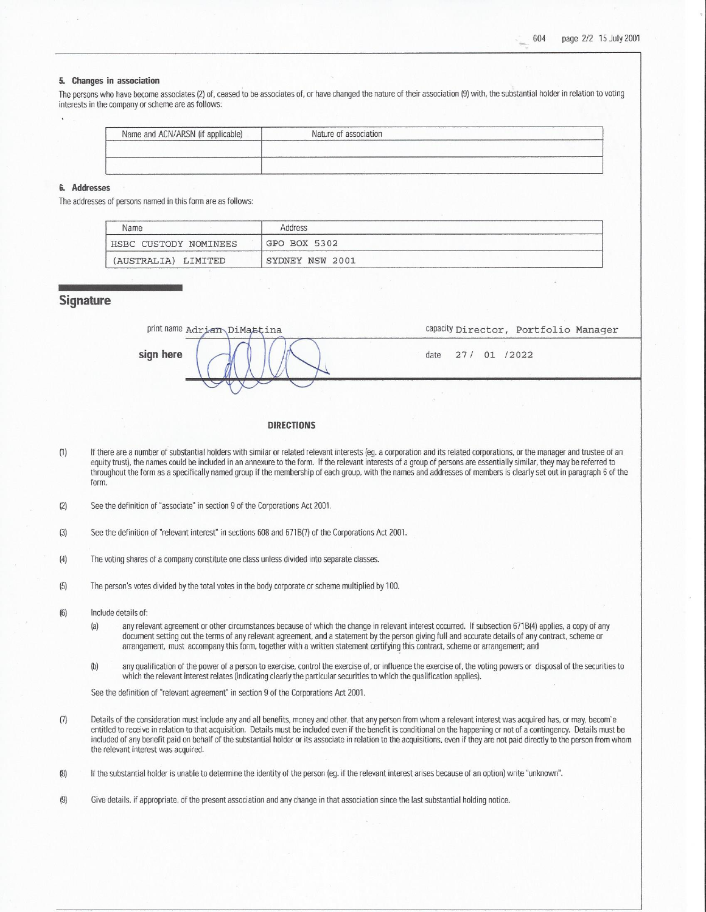#### 5. Changes in association

The persons who have become associates (2) of, ceased to be associates of, or have changed the nature of their association (9) with, the substantial holder in relation to voting interests in the company or scheme are as follows:

| Name and ACN/ARSN (if applicable) | Nature of association |  |
|-----------------------------------|-----------------------|--|
|                                   |                       |  |
|                                   |                       |  |
|                                   |                       |  |

#### 6. Addresses

The addresses of persons named in this form are as follows:

| Name                  | Address         |  |
|-----------------------|-----------------|--|
| HSBC CUSTODY NOMINEES | GPO BOX 5302    |  |
| (AUSTRALIA) LIMITED   | SYDNEY NSW 2001 |  |

### **Signature**

print name Adrian DiMattina capacity Director, Portfolio Manager sign here 27/ 01 /2022 date

#### **DIRECTIONS**

- If there are a number of substantial holders with similar or related relevant interests (eg. a corporation and its related corporations, or the manager and trustee of an  $(1)$ equity trust), the names could be included in an annexure to the form. If the relevant interests of a group of persons are essentially similar, they may be referred to throughout the form as a specifically named group if the membership of each group, with the names and addresses of members is clearly set out in paragraph 6 of the form.
- $(2)$ See the definition of "associate" in section 9 of the Corporations Act 2001.
- See the definition of "relevant interest" in sections 608 and 671B(7) of the Corporations Act 2001.  $(3)$
- $(4)$ The voting shares of a company constitute one class unless divided into separate classes.
- $(5)$ The person's votes divided by the total votes in the body corporate or scheme multiplied by 100.
- Include details of:  $(6)$ 
	- $(a)$ any relevant agreement or other circumstances because of which the change in relevant interest occurred. If subsection 671B(4) applies, a copy of any document setting out the terms of any relevant agreement, and a statement by the person giving full and accurate details of any contract, scheme or arrangement, must accompany this form, together with a written statement certifying this contract, scheme or arrangement; and
	- $(b)$ any qualification of the power of a person to exercise, control the exercise of, or influence the exercise of, the voting powers or disposal of the securities to which the relevant interest relates (indicating clearly the particular securities to which the qualification applies).

See the definition of "relevant agreement" in section 9 of the Corporations Act 2001.

- Details of the consideration must include any and all benefits, money and other, that any person from whom a relevant interest was acquired has, or may, becom'e  $(7)$ entitled to receive in relation to that acquisition. Details must be included even if the benefit is conditional on the happening or not of a contingency. Details must be included of any benefit paid on behalf of the substantial holder or its associate in relation to the acquisitions, even if they are not paid directly to the person from whom the relevant interest was acquired.
- $(8)$ If the substantial holder is unable to determine the identity of the person (eq. if the relevant interest arises because of an option) write "unknown".
- $(9)$ Give details, if appropriate, of the present association and any change in that association since the last substantial holding notice.